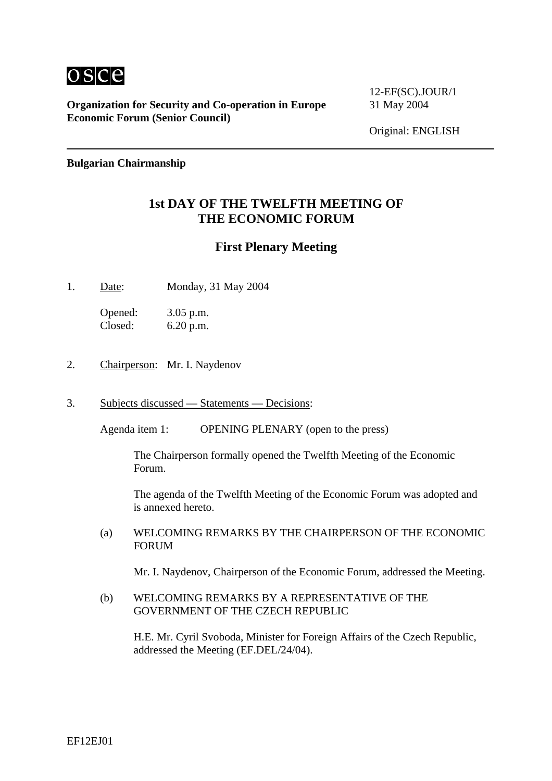

**Organization for Security and Co-operation in Europe** 31 May 2004 **Economic Forum (Senior Council)**

12-EF(SC).JOUR/1

Original: ENGLISH

#### **Bulgarian Chairmanship**

### **1st DAY OF THE TWELFTH MEETING OF THE ECONOMIC FORUM**

### **First Plenary Meeting**

1. Date: Monday, 31 May 2004

Opened: 3.05 p.m. Closed: 6.20 p.m.

- 2. Chairperson: Mr. I. Naydenov
- 3. Subjects discussed Statements Decisions:

Agenda item 1: OPENING PLENARY (open to the press)

The Chairperson formally opened the Twelfth Meeting of the Economic Forum.

The agenda of the Twelfth Meeting of the Economic Forum was adopted and is annexed hereto.

(a) WELCOMING REMARKS BY THE CHAIRPERSON OF THE ECONOMIC FORUM

Mr. I. Naydenov, Chairperson of the Economic Forum, addressed the Meeting.

(b) WELCOMING REMARKS BY A REPRESENTATIVE OF THE GOVERNMENT OF THE CZECH REPUBLIC

H.E. Mr. Cyril Svoboda, Minister for Foreign Affairs of the Czech Republic, addressed the Meeting (EF.DEL/24/04).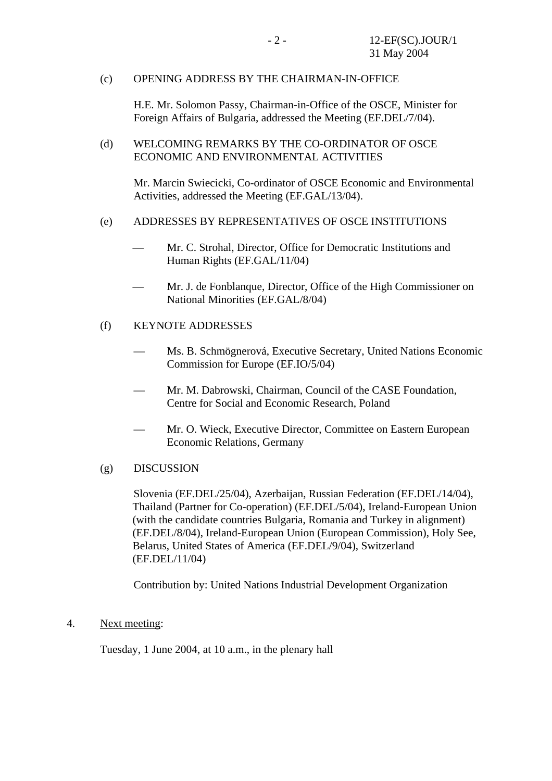#### (c) OPENING ADDRESS BY THE CHAIRMAN-IN-OFFICE

H.E. Mr. Solomon Passy, Chairman-in-Office of the OSCE, Minister for Foreign Affairs of Bulgaria, addressed the Meeting (EF.DEL/7/04).

(d) WELCOMING REMARKS BY THE CO-ORDINATOR OF OSCE ECONOMIC AND ENVIRONMENTAL ACTIVITIES

Mr. Marcin Swiecicki, Co-ordinator of OSCE Economic and Environmental Activities, addressed the Meeting (EF.GAL/13/04).

#### (e) ADDRESSES BY REPRESENTATIVES OF OSCE INSTITUTIONS

- Mr. C. Strohal, Director, Office for Democratic Institutions and Human Rights (EF.GAL/11/04)
- Mr. J. de Fonblanque, Director, Office of the High Commissioner on National Minorities (EF.GAL/8/04)

#### (f) KEYNOTE ADDRESSES

- Ms. B. Schmögnerová, Executive Secretary, United Nations Economic Commission for Europe (EF.IO/5/04)
- Mr. M. Dabrowski, Chairman, Council of the CASE Foundation. Centre for Social and Economic Research, Poland
- Mr. O. Wieck, Executive Director, Committee on Eastern European Economic Relations, Germany
- (g) DISCUSSION

Slovenia (EF.DEL/25/04), Azerbaijan, Russian Federation (EF.DEL/14/04), Thailand (Partner for Co-operation) (EF.DEL/5/04), Ireland-European Union (with the candidate countries Bulgaria, Romania and Turkey in alignment) (EF.DEL/8/04), Ireland-European Union (European Commission), Holy See, Belarus, United States of America (EF.DEL/9/04), Switzerland (EF.DEL/11/04)

Contribution by: United Nations Industrial Development Organization

4. Next meeting:

Tuesday, 1 June 2004, at 10 a.m., in the plenary hall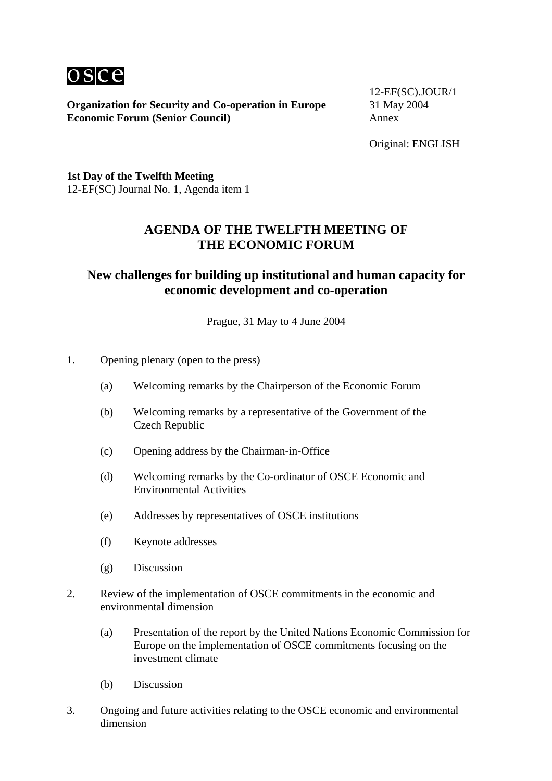

**Organization for Security and Co-operation in Europe** 31 May 2004 **Economic Forum (Senior Council)** Annex

12-EF(SC).JOUR/1

**1st Day of the Twelfth Meeting**  12-EF(SC) Journal No. 1, Agenda item 1

### **AGENDA OF THE TWELFTH MEETING OF THE ECONOMIC FORUM**

## **New challenges for building up institutional and human capacity for economic development and co-operation**

Prague, 31 May to 4 June 2004

- 1. Opening plenary (open to the press)
	- (a) Welcoming remarks by the Chairperson of the Economic Forum
	- (b) Welcoming remarks by a representative of the Government of the Czech Republic
	- (c) Opening address by the Chairman-in-Office
	- (d) Welcoming remarks by the Co-ordinator of OSCE Economic and Environmental Activities
	- (e) Addresses by representatives of OSCE institutions
	- (f) Keynote addresses
	- (g) Discussion
- 2. Review of the implementation of OSCE commitments in the economic and environmental dimension
	- (a) Presentation of the report by the United Nations Economic Commission for Europe on the implementation of OSCE commitments focusing on the investment climate
	- (b) Discussion
- 3. Ongoing and future activities relating to the OSCE economic and environmental dimension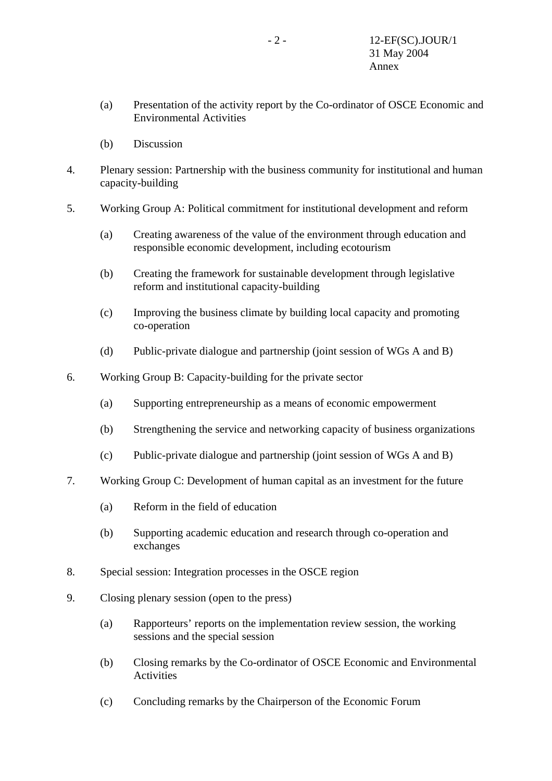- (a) Presentation of the activity report by the Co-ordinator of OSCE Economic and Environmental Activities
- (b) Discussion
- 4. Plenary session: Partnership with the business community for institutional and human capacity-building
- 5. Working Group A: Political commitment for institutional development and reform
	- (a) Creating awareness of the value of the environment through education and responsible economic development, including ecotourism
	- (b) Creating the framework for sustainable development through legislative reform and institutional capacity-building
	- (c) Improving the business climate by building local capacity and promoting co-operation
	- (d) Public-private dialogue and partnership (joint session of WGs A and B)
- 6. Working Group B: Capacity-building for the private sector
	- (a) Supporting entrepreneurship as a means of economic empowerment
	- (b) Strengthening the service and networking capacity of business organizations
	- (c) Public-private dialogue and partnership (joint session of WGs A and B)
- 7. Working Group C: Development of human capital as an investment for the future
	- (a) Reform in the field of education
	- (b) Supporting academic education and research through co-operation and exchanges
- 8. Special session: Integration processes in the OSCE region
- 9. Closing plenary session (open to the press)
	- (a) Rapporteurs' reports on the implementation review session, the working sessions and the special session
	- (b) Closing remarks by the Co-ordinator of OSCE Economic and Environmental Activities
	- (c) Concluding remarks by the Chairperson of the Economic Forum